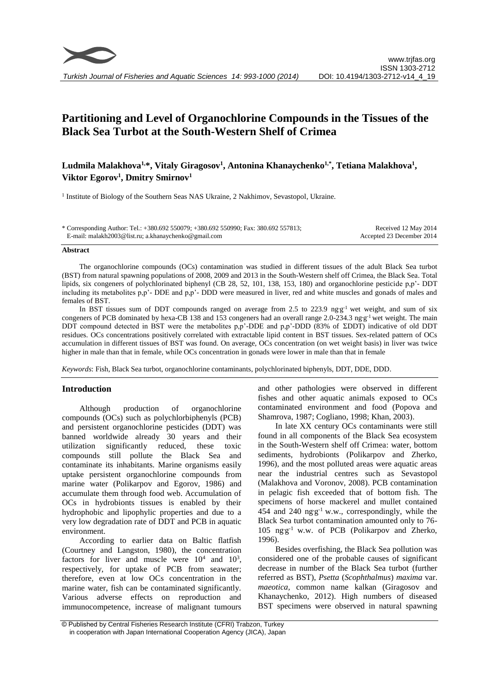

# **Partitioning and Level of Organochlorine Compounds in the Tissues of the Black Sea Turbot at the South-Western Shelf of Crimea**

## **Ludmila Malakhova1,\*, Vitaly Giragosov<sup>1</sup> , Antonina Khanaychenko1,\*, Tetiana Malakhova<sup>1</sup> , Viktor Egorov<sup>1</sup> , Dmitry Smirnov<sup>1</sup>**

<sup>1</sup> Institute of Biology of the Southern Seas NAS Ukraine, 2 Nakhimov, Sevastopol, Ukraine.

| * Corresponding Author: Tel.: +380.692 550079; +380.692 550990; Fax: 380.692 557813; | Received 12 May 2014      |
|--------------------------------------------------------------------------------------|---------------------------|
| E-mail: malakh2003@list.ru; a.khanaychenko@gmail.com                                 | Accepted 23 December 2014 |

#### **Abstract**

The organochlorine compounds (OCs) contamination was studied in different tissues of the adult Black Sea turbot (BST) from natural spawning populations of 2008, 2009 and 2013 in the South-Western shelf off Crimea, the Black Sea. Total lipids, six congeners of polychlorinated biphenyl (CB 28, 52, 101, 138, 153, 180) and organochlorine pesticide p,p'- DDT including its metabolites p,p'- DDE and p,p'- DDD were measured in liver, red and white muscles and gonads of males and females of BST.

In BST tissues sum of DDT compounds ranged on average from 2.5 to 223.9 ng $g^{-1}$  wet weight, and sum of six congeners of PCB dominated by hexa-CB 138 and 153 congeners had an overall range 2.0-234.3 ngg<sup>-1</sup> wet weight. The main DDT compound detected in BST were the metabolites p,p'-DDE and p,p'-DDD (83% of ΣDDT) indicative of old DDT residues. OCs concentrations positively correlated with extractable lipid content in BST tissues. Sex-related pattern of OCs accumulation in different tissues of BST was found. On average, OCs concentration (on wet weight basis) in liver was twice higher in male than that in female, while OCs concentration in gonads were lower in male than that in female

*Keywords*: Fish, Black Sea turbot, organochlorine contaminants, polychlorinated biphenyls, DDT, DDE, DDD.

#### **Introduction**

Although production of organochlorine compounds (OCs) such as polychlorbiphenyls (PCB) and persistent organochlorine pesticides (DDT) was banned worldwide already 30 years and their utilization significantly reduced, these toxic compounds still pollute the Black Sea and contaminate its inhabitants. Marine organisms easily uptake persistent organochlorine compounds from marine water (Polikarpov and Egorov, 1986) and accumulate them through food web. Accumulation of OCs in hydrobionts tissues is enabled by their hydrophobic and lipophylic properties and due to a very low degradation rate of DDT and PCB in aquatic environment.

According to earlier data on Baltic flatfish (Courtney and Langston, 1980), the concentration factors for liver and muscle were  $10^4$  and  $10^3$ , respectively, for uptake of PCB from seawater; therefore, even at low OCs concentration in the marine water, fish can be contaminated significantly. Various adverse effects on reproduction and immunocompetence, increase of malignant tumours

and other pathologies were observed in different fishes and other aquatic animals exposed to OCs contaminated environment and food (Popova and Shamrova, 1987; Cogliano, 1998; Khan, 2003).

In late XX century OCs contaminants were still found in all components of the Black Sea ecosystem in the South-Western shelf off Crimea: water, bottom sediments, hydrobionts (Polikarpov and Zherko, 1996), and the most polluted areas were aquatic areas near the industrial centres such as Sevastopol (Malakhova and Voronov, 2008). PCB contamination in pelagic fish exceeded that of bottom fish. The specimens of horse mackerel and mullet contained 454 and 240 ng**.**g -1 w.w., correspondingly, while the Black Sea turbot contamination amounted only to 76- 105 ng<sub>g</sub><sup>-1</sup> w.w. of PCB (Polikarpov and Zherko, 1996).

Besides overfishing, the Black Sea pollution was considered one of the probable causes of significant decrease in number of the Black Sea turbot (further referred as BST), *Psetta* (*Scophthalmus*) *maxima* var. *maeotica,* common name kalkan (Giragosov and Khanaychenko, 2012). High numbers of diseased BST specimens were observed in natural spawning

<sup>©</sup> Published by Central Fisheries Research Institute (CFRI) Trabzon, Turkey in cooperation with Japan International Cooperation Agency (JICA), Japan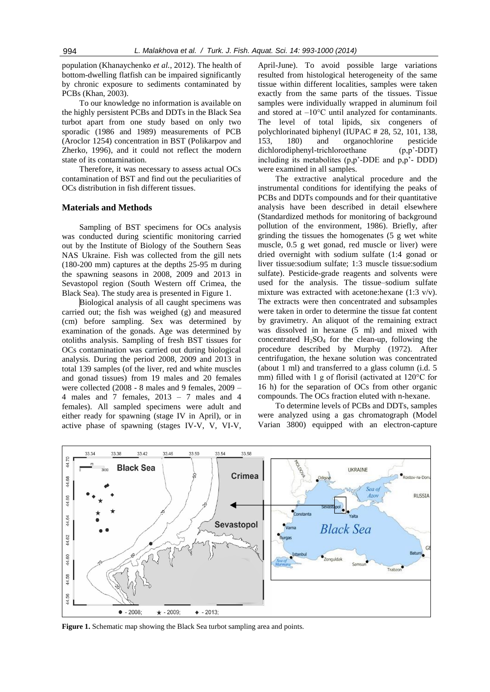population (Khanaychenko *et al.*, 2012). The health of bottom-dwelling flatfish can be impaired significantly by chronic exposure to sediments contaminated by PCBs (Khan, 2003).

To our knowledge no information is available on the highly persistent PCBs and DDTs in the Black Sea turbot apart from one study based on only two sporadic (1986 and 1989) measurements of PCB (Aroclor 1254) concentration in BST (Polikarpov and Zherko, 1996), and it could not reflect the modern state of its contamination.

Therefore, it was necessary to assess actual OCs contamination of BST and find out the peculiarities of OCs distribution in fish different tissues.

#### **Materials and Methods**

Sampling of BST specimens for OCs analysis was conducted during scientific monitoring carried out by the Institute of Biology of the Southern Seas NAS Ukraine. Fish was collected from the gill nets (180-200 mm) captures at the depths 25-95 m during the spawning seasons in 2008, 2009 and 2013 in Sevastopol region (South Western off Crimea, the Black Sea). The study area is presented in Figure 1.

Biological analysis of all caught specimens was carried out; the fish was weighed (g) and measured (cm) before sampling. Sex was determined by examination of the gonads. Age was determined by otoliths analysis. Sampling of fresh BST tissues for OCs contamination was carried out during biological analysis. During the period 2008, 2009 and 2013 in total 139 samples (of the liver, red and white muscles and gonad tissues) from 19 males and 20 females were collected (2008 - 8 males and 9 females, 2009 – 4 males and 7 females, 2013 – 7 males and 4 females). All sampled specimens were adult and either ready for spawning (stage IV in April), or in active phase of spawning (stages IV-V, V, VI-V,

April-June). To avoid possible large variations resulted from histological heterogeneity of the same tissue within different localities, samples were taken exactly from the same parts of the tissues. Tissue samples were individually wrapped in aluminum foil and stored at –10°C until analyzed for contaminants. The level of total lipids, six congeners of polychlorinated biphenyl (IUPAC # 28, 52, 101, 138, 153, 180) and organochlorine pesticide dichlorodiphenyl-trichloroethane (p,p'-DDT) including its metabolites (p,p'-DDE and p,p'- DDD) were examined in all samples.

The extractive analytical procedure and the instrumental conditions for identifying the peaks of PCBs and DDTs compounds and for their quantitative analysis have been described in detail elsewhere (Standardized methods for monitoring of background pollution of the environment, 1986). Briefly, after grinding the tissues the homogenates (5 g wet white muscle, 0.5 g wet gonad, red muscle or liver) were dried overnight with sodium sulfate (1:4 gonad or liver tissue:sodium sulfate; 1:3 muscle tissue:sodium sulfate). Pesticide-grade reagents and solvents were used for the analysis. The tissue–sodium sulfate mixture was extracted with acetone:hexane (1:3 v/v). The extracts were then concentrated and subsamples were taken in order to determine the tissue fat content by gravimetry. An aliquot of the remaining extract was dissolved in hexane (5 ml) and mixed with concentrated  $H<sub>2</sub>SO<sub>4</sub>$  for the clean-up, following the procedure described by Murphy (1972). After centrifugation, the hexane solution was concentrated (about 1 ml) and transferred to a glass column (i.d. 5 mm) filled with 1 g of florisil (activated at 120°C for 16 h) for the separation of OCs from other organic compounds. The OCs fraction eluted with n-hexane.

To determine levels of PCBs and DDTs, samples were analyzed using a gas chromatograph (Model Varian 3800) equipped with an electron-capture



Figure 1. Schematic map showing the Black Sea turbot sampling area and points.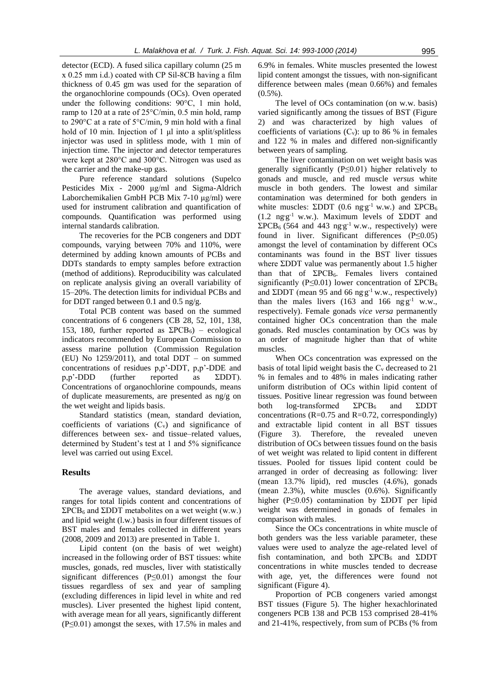detector (ECD). A fused silica capillary column (25 m x 0.25 mm i.d.) coated with СР Sil-8СB having a film thickness of 0.45 gm was used for the separation of the organochlorine compounds (OCs). Oven operated under the following conditions: 90°C, 1 min hold, ramp to 120 at a rate of 25°C/min, 0.5 min hold, ramp to 290°C at a rate of 5°C/min, 9 min hold with a final hold of 10 min. Injection of 1 μl into a split/splitless injector was used in splitless mode, with 1 min of injection time. The injector and detector temperatures were kept at 280°C and 300°C. Nitrogen was used as the carrier and the make-up gas.

Pure reference standard solutions (Supelco Pesticides Mix - 2000 μg/ml and Sigma-Aldrich Laborchemikalien GmbH PCB Mix 7-10 μg/ml) were used for instrument calibration and quantification of compounds. Quantification was performed using internal standards calibration.

The recoveries for the PCB congeners and DDT compounds, varying between 70% and 110%, were determined by adding known amounts of PCBs and DDTs standards to empty samples before extraction (method of additions). Reproducibility was calculated on replicate analysis giving an overall variability of 15–20%. The detection limits for individual PCBs and for DDT ranged between 0.1 and 0.5 ng/g.

Total PCB content was based on the summed concentrations of 6 congeners (CB 28, 52, 101, 138, 153, 180, further reported as  $\Sigma PCB_6$ ) – ecological indicators recommended by European Commission to assess marine pollution (Commission Regulation (EU) No  $1259/2011$ ), and total DDT – on summed concentrations of residues p,p'-DDT, p,p'-DDE and p,p'-DDD (further reported as ΣDDT). Concentrations of organochlorine compounds, means of duplicate measurements, are presented as ng/g on the wet weight and lipids basis.

Standard statistics (mean, standard deviation, coefficients of variations  $(C_v)$  and significance of differences between sex- and tissue–related values, determined by Student's test at 1 and 5% significance level was carried out using Excel.

#### **Results**

The average values, standard deviations, and ranges for total lipids content and concentrations of  $\Sigma PCB_6$  and  $\Sigma$ DDT metabolites on a wet weight (w.w.) and lipid weight (l.w.) basis in four different tissues of BST males and females collected in different years (2008, 2009 and 2013) are presented in Table 1.

Lipid content (on the basis of wet weight) increased in the following order of BST tissues: white muscles, gonads, red muscles, liver with statistically significant differences (P≤0.01) amongst the four tissues regardless of sex and year of sampling (excluding differences in lipid level in white and red muscles). Liver presented the highest lipid content, with average mean for all years, significantly different (P≤0.01) amongst the sexes, with 17.5% in males and

6.9% in females. White muscles presented the lowest lipid content amongst the tissues, with non-significant difference between males (mean 0.66%) and females  $(0.5\%)$ .

The level of OCs contamination (on w.w. basis) varied significantly among the tissues of BST (Figure 2) and was characterized by high values of coefficients of variations  $(C_v)$ : up to 86 % in females and 122 % in males and differed non-significantly between years of sampling.

The liver contamination on wet weight basis was generally significantly (P≤0.01) higher relatively to gonads and muscle, and red muscle *versus* white muscle in both genders. The lowest and similar contamination was determined for both genders in white muscles: ΣDDT (0.6 ng·g<sup>-1</sup> w.w.) and ΣPCB<sub>6</sub> (1.2 ng**.**g -1 w.w.). Maximum levels of ΣDDT and  $\Sigma PCB_6$  (564 and 443 ng·g<sup>-1</sup> w.w., respectively) were found in liver. Significant differences (P≤0.05) amongst the level of contamination by different OCs contaminants was found in the BST liver tissues where ΣDDT value was permanently about 1.5 higher than that of  $\Sigma PCB_6$ . Females livers contained significantly (P≤0.01) lower concentration of  $\Sigma PCB_6$ and  $\Sigma$ DDT (mean 95 and 66 ng g<sup>-1</sup> w.w., respectively) than the males livers  $(163 \text{ and } 166 \text{ ng } g^{-1} \text{ w.w.},$ respectively). Female gonads *vice versa* permanently contained higher OCs concentration than the male gonads. Red muscles contamination by OCs was by an order of magnitude higher than that of white muscles.

When OCs concentration was expressed on the basis of total lipid weight basis the  $C_v$  decreased to 21 % in females and to 48% in males indicating rather uniform distribution of OCs within lipid content of tissues. Positive linear regression was found between both log-transformed  $\Sigma PCB_6$  and  $\Sigma DDT$ concentrations ( $R=0.75$  and  $R=0.72$ , correspondingly) and extractable lipid content in all BST tissues (Figure 3). Therefore, the revealed uneven distribution of OCs between tissues found on the basis of wet weight was related to lipid content in different tissues. Pooled for tissues lipid content could be arranged in order of decreasing as following: liver (mean 13.7% lipid), red muscles (4.6%), gonads (mean 2.3%), white muscles (0.6%). Significantly higher (P≤0.05) contamination by ΣDDT per lipid weight was determined in gonads of females in comparison with males.

Since the OCs concentrations in white muscle of both genders was the less variable parameter, these values were used to analyze the age-related level of fish contamination, and both  $\Sigma PCB_6$  and  $\Sigma DDT$ concentrations in white muscles tended to decrease with age, yet, the differences were found not significant (Figure 4).

Proportion of PCB congeners varied amongst BST tissues (Figure 5). The higher hexachlorinated congeners PCB 138 and PCB 153 comprised 28-41% and 21-41%, respectively, from sum of PCBs (% from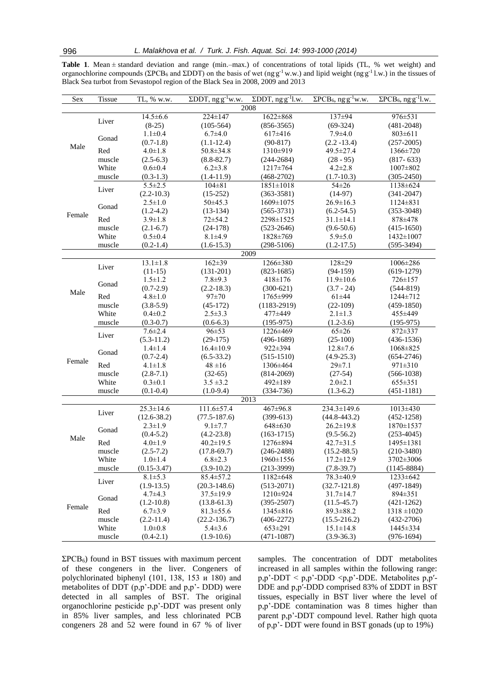|  | <b>Table 1.</b> Mean $\pm$ standard deviation and range (min.-max.) of concentrations of total lipids (TL, % wet weight) and                                                      |  |  |  |  |  |  |  |
|--|-----------------------------------------------------------------------------------------------------------------------------------------------------------------------------------|--|--|--|--|--|--|--|
|  | organochlorine compounds ( $\Sigma$ PCB <sub>6</sub> and $\Sigma$ DDT) on the basis of wet (ng g <sup>-1</sup> w.w.) and lipid weight (ng g <sup>-1</sup> l.w.) in the tissues of |  |  |  |  |  |  |  |
|  | Black Sea turbot from Sevastopol region of the Black Sea in 2008, 2009 and 2013                                                                                                   |  |  |  |  |  |  |  |

| Sex    | Tissue         | TL, % w.w.                     | $\Sigma$ DDT, ng g <sup>-1</sup> w.w. | $\Sigma$ DDT, ng g <sup>-1</sup> l.w. | $\Sigma PCB_6$ , ng·g <sup>-1</sup> w.w. | $\Sigma PCB_6$ , ng g <sup>-1</sup> l.w. |  |  |  |
|--------|----------------|--------------------------------|---------------------------------------|---------------------------------------|------------------------------------------|------------------------------------------|--|--|--|
|        | 2008           |                                |                                       |                                       |                                          |                                          |  |  |  |
| Male   | Liver          | $14.5 \pm 6.6$                 | 224±147                               | $1622 \pm 868$                        | 137±94                                   | 976±531                                  |  |  |  |
|        |                | $(8-25)$                       | $(105-564)$                           | $(856-3565)$                          | $(69-324)$                               | $(481 - 2048)$                           |  |  |  |
|        | Gonad          | $1.1 \pm 0.4$                  | $6.7 \pm 4.0$                         | $617\pm416$                           | $7.9 + 4.0$                              | $803 \pm 611$                            |  |  |  |
|        |                | $(0.7-1.8)$                    | $(1.1-12.4)$                          | $(90-817)$                            | $(2.2 - 13.4)$                           | $(257-2005)$                             |  |  |  |
|        | Red            | $4.0 \pm 1.8$                  | $50.8 \pm 34.8$                       | 1310±919                              | 49.5±27.4                                | 1366±720                                 |  |  |  |
|        | muscle         | $(2.5-6.3)$                    | $(8.8 - 82.7)$                        | $(244 - 2684)$                        | $(28 - 95)$                              | $(817 - 633)$                            |  |  |  |
|        | White          | $0.6 + 0.4$                    | $6.2 \pm 3.8$                         | 1217±764                              | $4.2 \pm 2.8$                            | $1007 \pm 802$                           |  |  |  |
|        | muscle         | $(0.3-1.3)$                    | $(1.4-11.9)$                          | $(468-2702)$                          | $(1.7-10.3)$                             | $(305 - 2450)$                           |  |  |  |
|        | Liver          | $5.5 \pm 2.5$                  | $104 \pm 81$                          | $1851 \pm 1018$                       | $54\pm26$                                | 1138±624                                 |  |  |  |
|        |                | $(2.2-10.3)$                   | $(15-252)$                            | $(363 - 3581)$                        | $(14-97)$                                | $(341 - 2047)$                           |  |  |  |
|        | Gonad          | $2.5 \pm 1.0$                  | $50\pm 45.3$                          | 1609±1075                             | $26.9 \pm 16.3$                          | $1124 \pm 831$                           |  |  |  |
| Female |                | $(1.2-4.2)$                    | $(13-134)$                            | $(565-3731)$                          | $(6.2 - 54.5)$                           | $(353-3048)$                             |  |  |  |
|        | Red            | $3.9 \pm 1.8$                  | $72 + 54.2$                           | 2298±1525                             | $31.1 \pm 14.1$                          | 878±478                                  |  |  |  |
|        | muscle         | $(2.1-6.7)$                    | $(24-178)$                            | $(523 - 2646)$                        | $(9.6 - 50.6)$                           | $(415-1650)$                             |  |  |  |
|        | White          | $0.5 \pm 0.4$                  | $8.1 + 4.9$                           | 1828±769                              | $5.9 \pm 5.0$                            | 1432±1007                                |  |  |  |
|        | muscle         | $(0.2-1.4)$                    | $(1.6-15.3)$                          | $(298-5106)$                          | $(1.2-17.5)$                             | $(595-3494)$                             |  |  |  |
|        |                |                                |                                       | $200\overline{9}$                     |                                          |                                          |  |  |  |
|        | Liver          | $13.1 \pm 1.8$                 | $162 \pm 39$                          | 1266±380                              | $128 + 29$                               | 1006±286                                 |  |  |  |
|        |                | $(11-15)$                      | $(131-201)$                           | $(823-1685)$                          | $(94-159)$                               | $(619-1279)$                             |  |  |  |
|        | Gonad          | $1.5 \pm 1.2$                  | $7.8 + 9.3$                           | $418 \pm 176$                         | $11.9 \pm 10.6$                          | 726±157                                  |  |  |  |
| Male   |                | $(0.7-2.9)$                    | $(2.2 - 18.3)$                        | $(300-621)$                           | $(3.7 - 24)$                             | $(544-819)$                              |  |  |  |
|        | Red            | $4.8 \pm 1.0$                  | 97±70                                 | 1765±999                              | $61 + 44$                                | 1244±712                                 |  |  |  |
|        | muscle         | $(3.8-5.9)$                    | $(45-172)$                            | $(1183-2919)$                         | $(22-109)$                               | $(459-1850)$                             |  |  |  |
|        | White          | $0.4 \pm 0.2$                  | $2.5 \pm 3.3$                         | 477±449                               | $2.1 \pm 1.3$                            | 455±449                                  |  |  |  |
|        | muscle         | $(0.3 - 0.7)$                  | $(0.6-6.3)$                           | $(195-975)$                           | $(1.2 - 3.6)$                            | $(195-975)$                              |  |  |  |
|        | Liver          | $7.6 \pm 2.4$                  | 96±53                                 | 1226±469                              | $65 \pm 26$                              | 872±337                                  |  |  |  |
|        |                | $(5.3-11.2)$                   | $(29-175)$                            | $(496-1689)$                          | $(25-100)$                               | $(436-1536)$                             |  |  |  |
|        | Gonad          | $1.4 \pm 1.4$                  | $16.4 \pm 10.9$                       | 922±394                               | $12.8 \pm 7.6$                           | 1068±825                                 |  |  |  |
| Female |                | $(0.7 - 2.4)$                  | $(6.5-33.2)$                          | $(515-1510)$                          | $(4.9 - 25.3)$                           | $(654-2746)$                             |  |  |  |
|        | Red            | $4.1 \pm 1.8$                  | $48 \pm 16$                           | 1306±464                              | $29 \pm 7.1$                             | $971 \pm 310$                            |  |  |  |
|        | muscle         | $(2.8 - 7.1)$                  | $(32-65)$                             | $(814-2069)$                          | $(27-54)$                                | $(566-1038)$                             |  |  |  |
|        | White          | $0.3 \pm 0.1$                  | $3.5 \pm 3.2$                         | $492 \pm 189$                         | $2.0 \pm 2.1$                            | $655 \pm 351$                            |  |  |  |
|        | muscle         | $(0.1 - 0.4)$                  | $(1.0-9.4)$                           | $(334 - 736)$                         | $(1.3-6.2)$                              | $(451 - 1181)$                           |  |  |  |
|        |                |                                |                                       | 2013                                  |                                          |                                          |  |  |  |
|        | Liver          | $25.3 \pm 14.6$                | 111.6±57.4                            | 467±96.8                              | 234.3±149.6                              | $1013 \pm 430$                           |  |  |  |
|        |                | $(12.6 - 38.2)$                | $(77.5 - 187.6)$                      | $(399-613)$                           | $(44.8 - 443.2)$                         | $(452 - 1258)$                           |  |  |  |
|        | Gonad          | $2.3 \pm 1.9$                  | $9.1 \pm 7.7$                         | 648±630                               | $26.2 \pm 19.8$                          | 1870±1537                                |  |  |  |
| Male   |                | $(0.4 - 5.2)$                  | $(4.2 - 23.8)$                        | $(163-1715)$                          | $(9.5 - 56.2)$                           | $(253-4045)$                             |  |  |  |
|        | Red            | $4.0 \pm 1.9$                  | $40.2 \pm 19.5$                       | 1276±894                              | $42.7 \pm 31.5$                          | 1495±1381                                |  |  |  |
|        | muscle         | $(2.5 - 7.2)$                  | $(17.8 - 69.7)$                       | $(246 - 2488)$                        | $(15.2 - 88.5)$                          | $(210-3480)$                             |  |  |  |
| Female | White          | $1.0 \pm 1.4$                  | $6.8 \pm 2.3$                         | 1960±1556                             | $17.2 \pm 12.9$                          | 3702±3006                                |  |  |  |
|        | muscle         | $(0.15 - 3.47)$                | $(3.9-10.2)$                          | $(213-3999)$                          | $(7.8-39.7)$                             | $(1145 - 8884)$                          |  |  |  |
|        | Liver<br>Gonad | $8.1 \pm 5.3$                  | 85.4±57.2                             | 1182±648                              | 78.3±40.9                                | $1233 \pm 642$                           |  |  |  |
|        |                | $(1.9-13.5)$                   | $(20.3 - 148.6)$                      | $(513-2071)$                          | $(32.7 - 121.8)$                         | $(497-1849)$                             |  |  |  |
|        |                | $4.7 \pm 4.3$                  | $37.5 \pm 19.9$                       | $1210 \pm 924$                        | $31.7 \pm 14.7$                          | 894±351                                  |  |  |  |
|        |                | $(1.2 - 10.8)$                 | $(13.8-61.3)$                         | $(395 - 2507)$                        | $(11.5-45.7)$                            | $(421-1262)$                             |  |  |  |
|        | Red            | $6.7 \pm 3.9$                  | $81.3 \pm 55.6$                       | $1345 \pm 816$                        | $89.3 \pm 88.2$                          | $1318 \pm 1020$                          |  |  |  |
|        | muscle         | $(2.2-11.4)$                   | $(22.2 - 136.7)$                      | $(406-2272)$                          | $(15.5 - 216.2)$                         | $(432-2706)$                             |  |  |  |
|        | White          | $1.0 \pm 0.8$<br>$5.4 \pm 3.6$ |                                       | $653 \pm 291$                         | $15.1 \pm 14.8$                          | 1445±334                                 |  |  |  |
|        | muscle         | $(0.4 - 2.1)$                  | $(1.9-10.6)$                          | $(471 - 1087)$                        | $(3.9 - 36.3)$                           | $(976-1694)$                             |  |  |  |

 $\Sigma PCB_6$ ) found in BST tissues with maximum percent of these congeners in the liver. Congeners of polychlorinated biphenyl (101, 138, 153 и 180) and metabolites of DDT (p,p'-DDE and p,p'- DDD) were detected in all samples of BST. The original organochlorine pesticide p,p'-DDT was present only in 85% liver samples, and less chlorinated PCB congeners 28 and 52 were found in 67 % of liver

samples. The concentration of DDT metabolites increased in all samples within the following range: p,p'-DDT < p,p'-DDD <p,p'-DDE. Metabolites p,p′- DDE and p,p′-DDD comprised 83% of ΣDDT in BST tissues, especially in BST liver where the level of p,p'-DDE contamination was 8 times higher than parent p,p'-DDT compound level. Rather high quota of p,p'- DDT were found in BST gonads (up to 19%)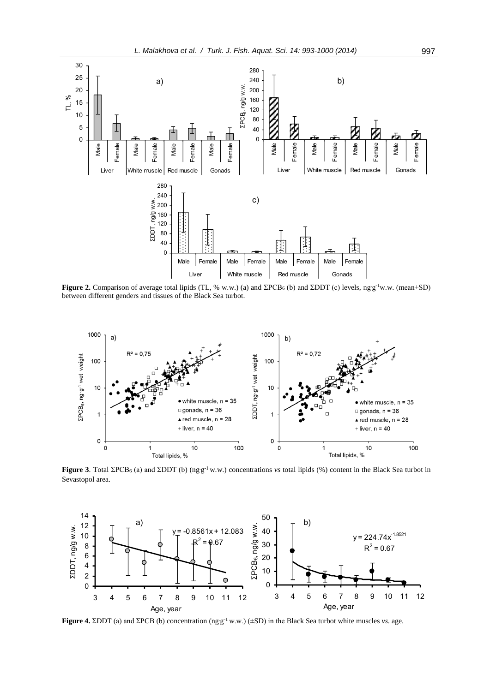

**Figure 2.** Comparison of average total lipids (TL, % w.w.) (a) and  $\Sigma PCB_6$  (b) and  $\Sigma DDT$  (c) levels, ngg<sup>-1</sup>w.w. (mean $\pm SD$ ) between different genders and tissues of the Black Sea turbot.



**Figure 3**. Total ΣPCB<sub>6</sub> (a) and ΣDDT (b) (ng.g<sup>-1</sup> w.w.) concentrations *vs* total lipids (%) content in the Black Sea turbot in Sevastopol area.



**Figure 4.** ΣDDT (a) and ΣPCB (b) concentration  $(\text{ng } g^{-1} w.w.)$  ( $\pm$ SD) in the Black Sea turbot white muscles *vs*. age.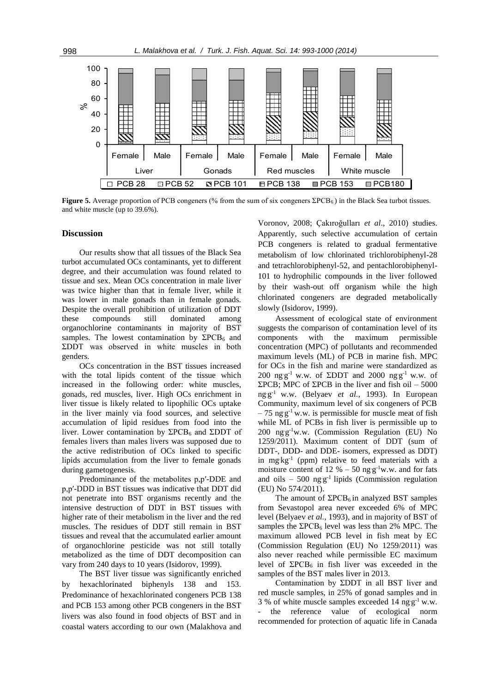

**Figure 5.** Average proportion of PCB congeners (% from the sum of six congeners ΣPCB<sub>6</sub>) in the Black Sea turbot tissues. and white muscle (up to 39.6%).

### **Discussion**

Our results show that all tissues of the Black Sea turbot accumulated OCs contaminants, yet to different degree, and their accumulation was found related to tissue and sex. Mean OCs concentration in male liver was twice higher than that in female liver, while it was lower in male gonads than in female gonads. Despite the overall prohibition of utilization of DDT these compounds still dominated among organochlorine contaminants in majority of BST samples. The lowest contamination by  $\Sigma PCB_6$  and ΣDDT was observed in white muscles in both genders.

OCs concentration in the BST tissues increased with the total lipids content of the tissue which increased in the following order: white muscles, gonads, red muscles, liver. High OCs enrichment in liver tissue is likely related to lipophilic OCs uptake in the liver mainly via food sources, and selective accumulation of lipid residues from food into the liver. Lower contamination by  $\Sigma PCB_6$  and  $\Sigma DDT$  of females livers than males livers was supposed due to the active redistribution of OCs linked to specific lipids accumulation from the liver to female gonads during gametogenesis.

Predominance of the metabolites p,p′-DDE and p,p′-DDD in BST tissues was indicative that DDT did not penetrate into BST organisms recently and the intensive destruction of DDT in BST tissues with higher rate of their metabolism in the liver and the red muscles. The residues of DDT still remain in BST tissues and reveal that the accumulated earlier amount of organochlorine pesticide was not still totally metabolized as the time of DDT decomposition can vary from 240 days to 10 years (Isidorov, 1999).

The BST liver tissue was significantly enriched by hexachlorinated biphenyls 138 and 153. Predominance of hexachlorinated congeners PCB 138 and PCB 153 among other PCB congeners in the BST livers was also found in food objects of BST and in coastal waters according to our own (Malakhova and Voronov, 2008; Çakıroğulları *et al*., 2010) studies. Apparently, such selective accumulation of certain PCB congeners is related to gradual fermentative metabolism of low chlorinated trichlorobiphenyl-28 and tetrachlorobiphenyl-52, and pentachlorobiphenyl-101 to hydrophilic compounds in the liver followed by their wash-out off organism while the high chlorinated congeners are degraded metabolically slowly (Isidorov, 1999).

Assessment of ecological state of environment suggests the comparison of contamination level of its components with the maximum permissible concentration (MPC) of pollutants and recommended maximum levels (ML) of PCB in marine fish. MPC for OCs in the fish and marine were standardized as 200 ng g<sup>-1</sup> w.w. of ΣDDT and 2000 ng g<sup>-1</sup> w.w. of ΣPCB; MPC of ΣPCB in the liver and fish oil – 5000 ng.g -1 w.w. (Belyaev *et al.*, 1993). In European Community, maximum level of six congeners of PCB  $-75$  ng g<sup>-1</sup> w.w. is permissible for muscle meat of fish while ML of PCBs in fish liver is permissible up to 200 ng g<sup>-1</sup>w.w. (Commission Regulation (EU) No 1259/2011). Maximum content of DDT (sum of DDT-, DDD- and DDE- isomers, expressed as DDT) in mg<sub>kg</sub>-1 (ppm) relative to feed materials with a moisture content of 12 %  $-50$  ng g<sup>-1</sup>w.w. and for fats and oils  $-500$  ng g<sup>-1</sup> lipids (Commission regulation (EU) No 574/2011).

The amount of  $\Sigma PCB_6$  in analyzed BST samples from Sevastopol area never exceeded 6% of MPC level (Belyaev *et al.*, 1993), and in majority of BST of samples the  $\Sigma PCB_6$  level was less than 2% MPC. The maximum allowed PCB level in fish meat by EC (Commission Regulation (EU) No 1259/2011) was also never reached while permissible EC maximum level of  $\Sigma PCB_6$  in fish liver was exceeded in the samples of the BST males liver in 2013.

Contamination by ΣDDT in all BST liver and red muscle samples, in 25% of gonad samples and in 3 % of white muscle samples exceeded  $14$  ng  $g^{-1}$  w.w. the reference value of ecological norm recommended for protection of aquatic life in Canada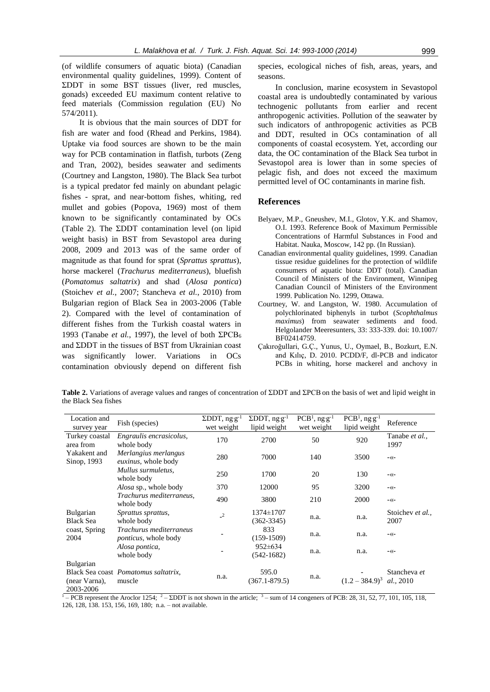(of wildlife consumers of aquatic biota) (Canadian environmental quality guidelines, 1999). Content of ΣDDT in some BST tissues (liver, red muscles, gonads) exceeded EU maximum content relative to feed materials (Commission regulation (EU) No 574/2011).

It is obvious that the main sources of DDT for fish are water and food (Rhead and Perkins, 1984). Uptake via food sources are shown to be the main way for PCB contamination in flatfish, turbots (Zeng and Tran, 2002), besides seawater and sediments (Courtney and Langston, 1980). The Black Sea turbot is a typical predator fed mainly on abundant pelagic fishes - sprat, and near-bottom fishes, whiting, red mullet and gobies (Popova, 1969) most of them known to be significantly contaminated by OCs (Table 2). The ΣDDT contamination level (on lipid weight basis) in BST from Sevastopol area during 2008, 2009 and 2013 was of the same order of magnitude as that found for sprat (*Sprattus sprattus*), horse mackerel (*Trachurus mediterraneus*), bluefish (*Pomatomus saltatrix*) and shad (*Alosa pontica*) (Stoichev *et al.*, 2007; Stancheva *et al.*, 2010) from Bulgarian region of Black Sea in 2003-2006 (Table 2). Compared with the level of contamination of different fishes from the Turkish coastal waters in 1993 (Tanabe *et al.*, 1997), the level of both  $\Sigma PCB_6$ and ΣDDT in the tissues of BST from Ukrainian coast was significantly lower. Variations in OCs contamination obviously depend on different fish species, ecological niches of fish, areas, years, and seasons.

In conclusion, marine ecosystem in Sevastopol coastal area is undoubtedly contaminated by various technogenic pollutants from earlier and recent anthropogenic activities. Pollution of the seawater by such indicators of anthropogenic activities as PCB and DDT, resulted in OCs contamination of all components of coastal ecosystem. Yet, according our data, the OC contamination of the Black Sea turbot in Sevastopol area is lower than in some species of pelagic fish, and does not exceed the maximum permitted level of OC contaminants in marine fish.

#### **References**

- Belyaev, M.P., Gneushev, M.I., Glotov, Y.K. and Shamov, O.I. 1993. Reference Book of Maximum Permissible Concentrations of Harmful Substances in Food and Habitat. Nauka, Moscow, 142 pp. (In Russian).
- Canadian environmental quality guidelines, 1999. Canadian tissue residue guidelines for the protection of wildlife consumers of aquatic biota: DDT (total). Canadian Council of Ministers of the Environment, Winnipeg Canadian Council of Ministers of the Environment 1999. Publication No. 1299, Ottawa.
- Courtney, W. and Langston, W. 1980. Accumulation of polychlorinated biphenyls in turbot (*Scophthalmus maximus*) from seawater sediments and food. Helgolander Meeresunters, 33: 333-339. doi: 10.1007/ BF02414759.
- Çakıroğullari, G.Ç., Yunus, U., Oymael, B., Bozkurt, E.N. and Kılıç, D. 2010. PCDD/F, dl-PCB and indicator PCBs in whiting, horse mackerel and anchovy in

**Table 2.** Variations of average values and ranges of concentration of ΣDDT and ΣPCBon the basis of wet and lipid weight in the Black Sea fishes

| Location and<br>survey year          | Fish (species)                                          | $\Sigma$ DDT, ng·g <sup>-1</sup><br>wet weight | $\Sigma$ DDT, ng·g <sup>-1</sup><br>lipid weight | $PCB1$ , ng·g <sup>-1</sup><br>wet weight | $PCB1$ , ng·g <sup>-1</sup><br>lipid weight | Reference                 |
|--------------------------------------|---------------------------------------------------------|------------------------------------------------|--------------------------------------------------|-------------------------------------------|---------------------------------------------|---------------------------|
| Turkey coastal<br>area from          | Engraulis encrasicolus,<br>whole body                   | 170                                            | 2700                                             | 50                                        | 920                                         | Tanabe et al.,<br>1997    |
| Yakakent and<br>Sinop, 1993          | Merlangius merlangus<br><i>euxinus</i> , whole body     | 280                                            | 7000                                             | 140                                       | 3500                                        | $-\langle \langle -$      |
|                                      | Mullus surmuletus.<br>whole body                        | 250                                            | 1700                                             | 20                                        | 130                                         | $-\langle \langle -$      |
|                                      | <i>Alosa</i> sp., whole body                            | 370                                            | 12000                                            | 95                                        | 3200                                        | $-\langle \langle -$      |
|                                      | Trachurus mediterraneus.<br>whole body                  | 490                                            | 3800                                             | 210                                       | 2000                                        | $-\langle \langle -$      |
| <b>Bulgarian</b><br><b>Black Sea</b> | Sprattus sprattus,<br>whole body                        | $\sqrt{2}$                                     | 1374±1707<br>$(362 - 3345)$                      | n.a.                                      | n.a.                                        | Stoichev et al.,<br>2007  |
| coast, Spring<br>2004                | Trachurus mediterraneus<br><i>ponticus</i> , whole body |                                                | 833<br>$(159-1509)$                              | n.a.                                      | n.a.                                        | $ ($ $-$                  |
|                                      | Alosa pontica,<br>whole body                            |                                                | $952 \pm 634$<br>$(542-1682)$                    | n.a.                                      | n.a.                                        | $ ($ $-$                  |
| <b>Bulgarian</b>                     |                                                         |                                                |                                                  |                                           |                                             |                           |
| (near Varna).<br>2003-2006           | Black Sea coast <i>Pomatomus saltatrix</i> ,<br>muscle  | n.a.                                           | 595.0<br>$(367.1 - 879.5)$                       | n.a.                                      | $(1.2 - 384.9)^3$                           | Stancheva et<br>al., 2010 |

 $\overline{1 - PCB}$  represent the Aroclor 1254;  $\overline{2 - \text{EDDT}}$  is not shown in the article;  $\overline{3}$  – sum of 14 congeners of PCB: 28, 31, 52, 77, 101, 105, 118, 126, 128, 138. 153, 156, 169, 180; n.a. – not available.